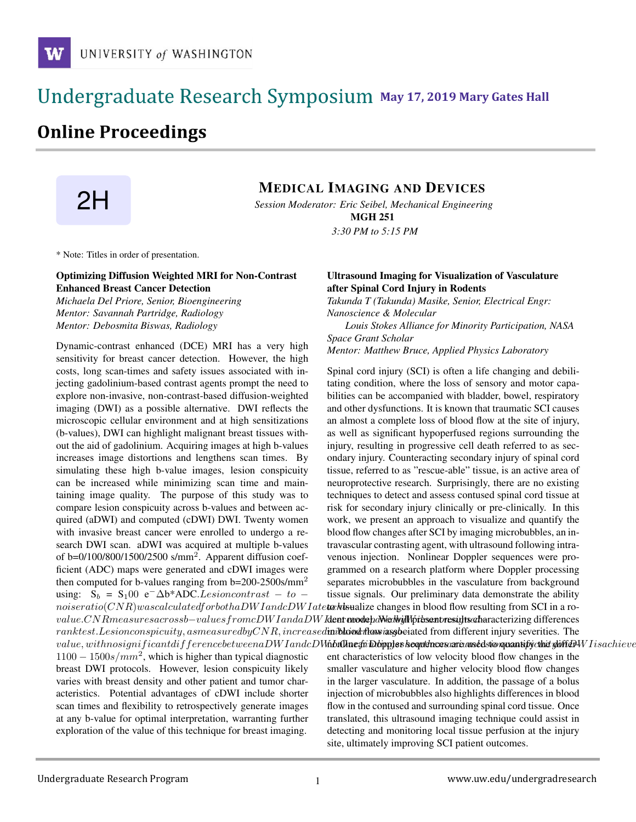### **May 17, 2019 Mary Gates Hall** Ĭ

## **Online Proceedings**



# **2H MEDICAL IMAGING AND DEVICES**<br>Session Moderator: Eric Seibel Mechanical Engineerin

*Session Moderator: Eric Seibel, Mechanical Engineering*

MGH 251 *3:30 PM to 5:15 PM*

\* Note: Titles in order of presentation.

#### Optimizing Diffusion Weighted MRI for Non-Contrast Enhanced Breast Cancer Detection

*Michaela Del Priore, Senior, Bioengineering Mentor: Savannah Partridge, Radiology Mentor: Debosmita Biswas, Radiology*

Dynamic-contrast enhanced (DCE) MRI has a very high sensitivity for breast cancer detection. However, the high costs, long scan-times and safety issues associated with injecting gadolinium-based contrast agents prompt the need to explore non-invasive, non-contrast-based diffusion-weighted imaging (DWI) as a possible alternative. DWI reflects the microscopic cellular environment and at high sensitizations (b-values), DWI can highlight malignant breast tissues without the aid of gadolinium. Acquiring images at high b-values increases image distortions and lengthens scan times. By simulating these high b-value images, lesion conspicuity can be increased while minimizing scan time and maintaining image quality. The purpose of this study was to compare lesion conspicuity across b-values and between acquired (aDWI) and computed (cDWI) DWI. Twenty women with invasive breast cancer were enrolled to undergo a research DWI scan. aDWI was acquired at multiple b-values of  $b=0/100/800/1500/2500$  s/mm<sup>2</sup>. Apparent diffusion coefficient (ADC) maps were generated and cDWI images were then computed for b-values ranging from b=200-2500s/mm<sup>2</sup> using:  $S_b = S_1 00 e^{-\Delta b*ADC. Lesion contrast - to -}$  $noise ratio(CNR) was calculated for both a DW I and cDWI at e$  to visualize changes in blood flow resulting from SCI in a ro $value.CNR measurements or ossb–values from cDWI and a DWI data$   $dEW$  ident mode $pa$ Nedwijll priksent results characterizing differences ranktest.Lesionconspicuity, asmeasuredbyCNR, increased inibliond flow insgloeiated from different injury severities. The  $value, with no significant difference between a DW I and cDM$ Kho ${\bf \hat{u}}$  popler showthaw state was are understanded to  ${\bf \hat{u}}$  $1100 - 1500s/mm^2$ , which is higher than typical diagnostic breast DWI protocols. However, lesion conspicuity likely varies with breast density and other patient and tumor characteristics. Potential advantages of cDWI include shorter scan times and flexibility to retrospectively generate images at any b-value for optimal interpretation, warranting further exploration of the value of this technique for breast imaging.

#### Ultrasound Imaging for Visualization of Vasculature after Spinal Cord Injury in Rodents

*Takunda T (Takunda) Masike, Senior, Electrical Engr: Nanoscience & Molecular*

*Louis Stokes Alliance for Minority Participation, NASA Space Grant Scholar Mentor: Matthew Bruce, Applied Physics Laboratory*

Spinal cord injury (SCI) is often a life changing and debilitating condition, where the loss of sensory and motor capabilities can be accompanied with bladder, bowel, respiratory and other dysfunctions. It is known that traumatic SCI causes an almost a complete loss of blood flow at the site of injury, as well as significant hypoperfused regions surrounding the injury, resulting in progressive cell death referred to as secondary injury. Counteracting secondary injury of spinal cord tissue, referred to as "rescue-able" tissue, is an active area of neuroprotective research. Surprisingly, there are no existing techniques to detect and assess contused spinal cord tissue at risk for secondary injury clinically or pre-clinically. In this work, we present an approach to visualize and quantify the blood flow changes after SCI by imaging microbubbles, an intravascular contrasting agent, with ultrasound following intravenous injection. Nonlinear Doppler sequences were programmed on a research platform where Doppler processing separates microbubbles in the vasculature from background tissue signals. Our preliminary data demonstrate the ability

ent characteristics of low velocity blood flow changes in the smaller vasculature and higher velocity blood flow changes in the larger vasculature. In addition, the passage of a bolus injection of microbubbles also highlights differences in blood flow in the contused and surrounding spinal cord tissue. Once translated, this ultrasound imaging technique could assist in detecting and monitoring local tissue perfusion at the injury site, ultimately improving SCI patient outcomes.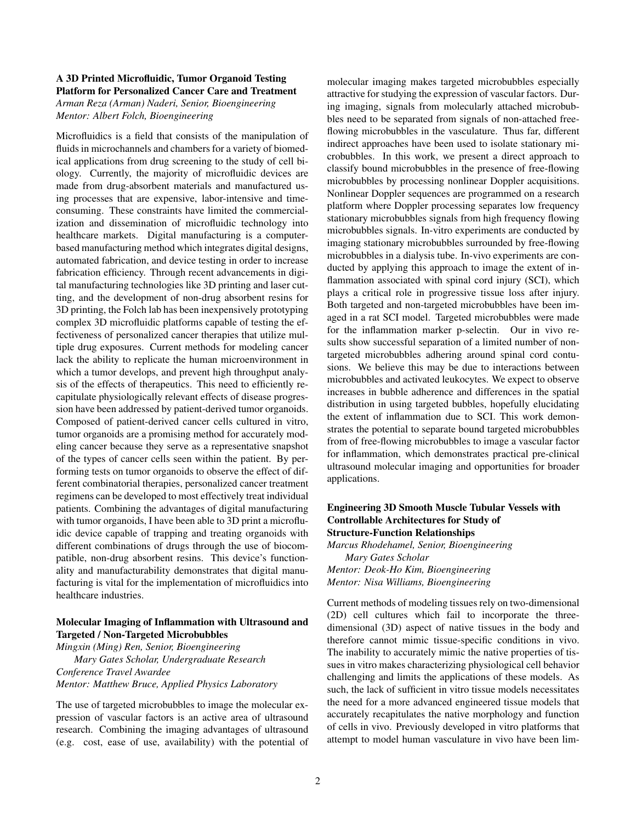#### A 3D Printed Microfluidic, Tumor Organoid Testing Platform for Personalized Cancer Care and Treatment

*Arman Reza (Arman) Naderi, Senior, Bioengineering Mentor: Albert Folch, Bioengineering*

Microfluidics is a field that consists of the manipulation of fluids in microchannels and chambers for a variety of biomedical applications from drug screening to the study of cell biology. Currently, the majority of microfluidic devices are made from drug-absorbent materials and manufactured using processes that are expensive, labor-intensive and timeconsuming. These constraints have limited the commercialization and dissemination of microfluidic technology into healthcare markets. Digital manufacturing is a computerbased manufacturing method which integrates digital designs, automated fabrication, and device testing in order to increase fabrication efficiency. Through recent advancements in digital manufacturing technologies like 3D printing and laser cutting, and the development of non-drug absorbent resins for 3D printing, the Folch lab has been inexpensively prototyping complex 3D microfluidic platforms capable of testing the effectiveness of personalized cancer therapies that utilize multiple drug exposures. Current methods for modeling cancer lack the ability to replicate the human microenvironment in which a tumor develops, and prevent high throughput analysis of the effects of therapeutics. This need to efficiently recapitulate physiologically relevant effects of disease progression have been addressed by patient-derived tumor organoids. Composed of patient-derived cancer cells cultured in vitro, tumor organoids are a promising method for accurately modeling cancer because they serve as a representative snapshot of the types of cancer cells seen within the patient. By performing tests on tumor organoids to observe the effect of different combinatorial therapies, personalized cancer treatment regimens can be developed to most effectively treat individual patients. Combining the advantages of digital manufacturing with tumor organoids, I have been able to 3D print a microfluidic device capable of trapping and treating organoids with different combinations of drugs through the use of biocompatible, non-drug absorbent resins. This device's functionality and manufacturability demonstrates that digital manufacturing is vital for the implementation of microfluidics into healthcare industries.

#### Molecular Imaging of Inflammation with Ultrasound and Targeted / Non-Targeted Microbubbles

*Mingxin (Ming) Ren, Senior, Bioengineering Mary Gates Scholar, Undergraduate Research Conference Travel Awardee Mentor: Matthew Bruce, Applied Physics Laboratory*

The use of targeted microbubbles to image the molecular expression of vascular factors is an active area of ultrasound research. Combining the imaging advantages of ultrasound (e.g. cost, ease of use, availability) with the potential of molecular imaging makes targeted microbubbles especially attractive for studying the expression of vascular factors. During imaging, signals from molecularly attached microbubbles need to be separated from signals of non-attached freeflowing microbubbles in the vasculature. Thus far, different indirect approaches have been used to isolate stationary microbubbles. In this work, we present a direct approach to classify bound microbubbles in the presence of free-flowing microbubbles by processing nonlinear Doppler acquisitions. Nonlinear Doppler sequences are programmed on a research platform where Doppler processing separates low frequency stationary microbubbles signals from high frequency flowing microbubbles signals. In-vitro experiments are conducted by imaging stationary microbubbles surrounded by free-flowing microbubbles in a dialysis tube. In-vivo experiments are conducted by applying this approach to image the extent of inflammation associated with spinal cord injury (SCI), which plays a critical role in progressive tissue loss after injury. Both targeted and non-targeted microbubbles have been imaged in a rat SCI model. Targeted microbubbles were made for the inflammation marker p-selectin. Our in vivo results show successful separation of a limited number of nontargeted microbubbles adhering around spinal cord contusions. We believe this may be due to interactions between microbubbles and activated leukocytes. We expect to observe increases in bubble adherence and differences in the spatial distribution in using targeted bubbles, hopefully elucidating the extent of inflammation due to SCI. This work demonstrates the potential to separate bound targeted microbubbles from of free-flowing microbubbles to image a vascular factor for inflammation, which demonstrates practical pre-clinical ultrasound molecular imaging and opportunities for broader applications.

#### Engineering 3D Smooth Muscle Tubular Vessels with Controllable Architectures for Study of Structure-Function Relationships

*Marcus Rhodehamel, Senior, Bioengineering Mary Gates Scholar Mentor: Deok-Ho Kim, Bioengineering Mentor: Nisa Williams, Bioengineering*

Current methods of modeling tissues rely on two-dimensional (2D) cell cultures which fail to incorporate the threedimensional (3D) aspect of native tissues in the body and therefore cannot mimic tissue-specific conditions in vivo. The inability to accurately mimic the native properties of tissues in vitro makes characterizing physiological cell behavior challenging and limits the applications of these models. As such, the lack of sufficient in vitro tissue models necessitates the need for a more advanced engineered tissue models that accurately recapitulates the native morphology and function of cells in vivo. Previously developed in vitro platforms that attempt to model human vasculature in vivo have been lim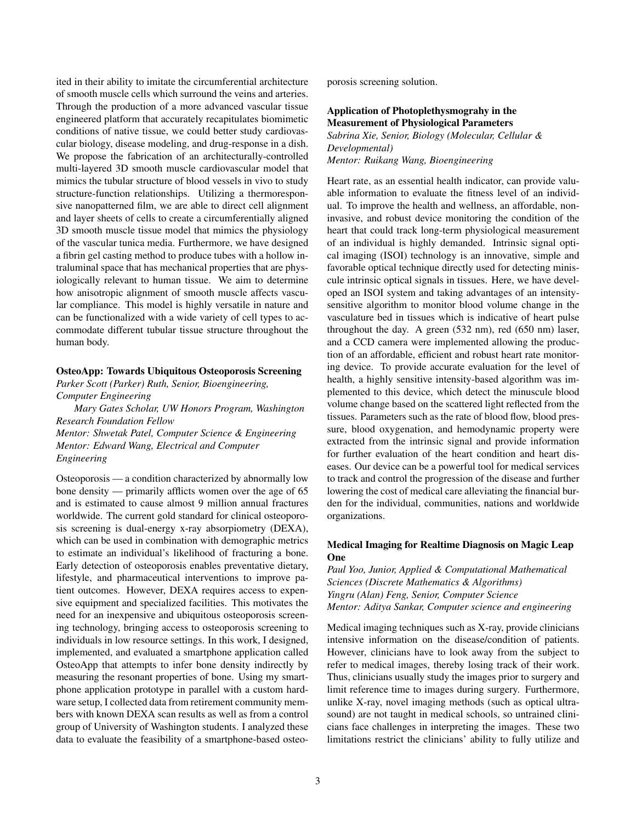ited in their ability to imitate the circumferential architecture of smooth muscle cells which surround the veins and arteries. Through the production of a more advanced vascular tissue engineered platform that accurately recapitulates biomimetic conditions of native tissue, we could better study cardiovascular biology, disease modeling, and drug-response in a dish. We propose the fabrication of an architecturally-controlled multi-layered 3D smooth muscle cardiovascular model that mimics the tubular structure of blood vessels in vivo to study structure-function relationships. Utilizing a thermoresponsive nanopatterned film, we are able to direct cell alignment and layer sheets of cells to create a circumferentially aligned 3D smooth muscle tissue model that mimics the physiology of the vascular tunica media. Furthermore, we have designed a fibrin gel casting method to produce tubes with a hollow intraluminal space that has mechanical properties that are physiologically relevant to human tissue. We aim to determine how anisotropic alignment of smooth muscle affects vascular compliance. This model is highly versatile in nature and can be functionalized with a wide variety of cell types to accommodate different tubular tissue structure throughout the human body.

#### OsteoApp: Towards Ubiquitous Osteoporosis Screening

*Parker Scott (Parker) Ruth, Senior, Bioengineering, Computer Engineering*

*Mary Gates Scholar, UW Honors Program, Washington Research Foundation Fellow Mentor: Shwetak Patel, Computer Science & Engineering Mentor: Edward Wang, Electrical and Computer Engineering*

Osteoporosis — a condition characterized by abnormally low bone density — primarily afflicts women over the age of 65 and is estimated to cause almost 9 million annual fractures worldwide. The current gold standard for clinical osteoporosis screening is dual-energy x-ray absorpiometry (DEXA), which can be used in combination with demographic metrics to estimate an individual's likelihood of fracturing a bone. Early detection of osteoporosis enables preventative dietary, lifestyle, and pharmaceutical interventions to improve patient outcomes. However, DEXA requires access to expensive equipment and specialized facilities. This motivates the need for an inexpensive and ubiquitous osteoporosis screening technology, bringing access to osteoporosis screening to individuals in low resource settings. In this work, I designed, implemented, and evaluated a smartphone application called OsteoApp that attempts to infer bone density indirectly by measuring the resonant properties of bone. Using my smartphone application prototype in parallel with a custom hardware setup, I collected data from retirement community members with known DEXA scan results as well as from a control group of University of Washington students. I analyzed these data to evaluate the feasibility of a smartphone-based osteoporosis screening solution.

#### Application of Photoplethysmograhy in the Measurement of Physiological Parameters

*Sabrina Xie, Senior, Biology (Molecular, Cellular & Developmental) Mentor: Ruikang Wang, Bioengineering*

Heart rate, as an essential health indicator, can provide valuable information to evaluate the fitness level of an individual. To improve the health and wellness, an affordable, noninvasive, and robust device monitoring the condition of the heart that could track long-term physiological measurement of an individual is highly demanded. Intrinsic signal optical imaging (ISOI) technology is an innovative, simple and favorable optical technique directly used for detecting miniscule intrinsic optical signals in tissues. Here, we have developed an ISOI system and taking advantages of an intensitysensitive algorithm to monitor blood volume change in the vasculature bed in tissues which is indicative of heart pulse throughout the day. A green (532 nm), red (650 nm) laser, and a CCD camera were implemented allowing the production of an affordable, efficient and robust heart rate monitoring device. To provide accurate evaluation for the level of health, a highly sensitive intensity-based algorithm was implemented to this device, which detect the minuscule blood volume change based on the scattered light reflected from the tissues. Parameters such as the rate of blood flow, blood pressure, blood oxygenation, and hemodynamic property were extracted from the intrinsic signal and provide information for further evaluation of the heart condition and heart diseases. Our device can be a powerful tool for medical services to track and control the progression of the disease and further lowering the cost of medical care alleviating the financial burden for the individual, communities, nations and worldwide organizations.

#### Medical Imaging for Realtime Diagnosis on Magic Leap One

*Paul Yoo, Junior, Applied & Computational Mathematical Sciences (Discrete Mathematics & Algorithms) Yingru (Alan) Feng, Senior, Computer Science Mentor: Aditya Sankar, Computer science and engineering*

Medical imaging techniques such as X-ray, provide clinicians intensive information on the disease/condition of patients. However, clinicians have to look away from the subject to refer to medical images, thereby losing track of their work. Thus, clinicians usually study the images prior to surgery and limit reference time to images during surgery. Furthermore, unlike X-ray, novel imaging methods (such as optical ultrasound) are not taught in medical schools, so untrained clinicians face challenges in interpreting the images. These two limitations restrict the clinicians' ability to fully utilize and